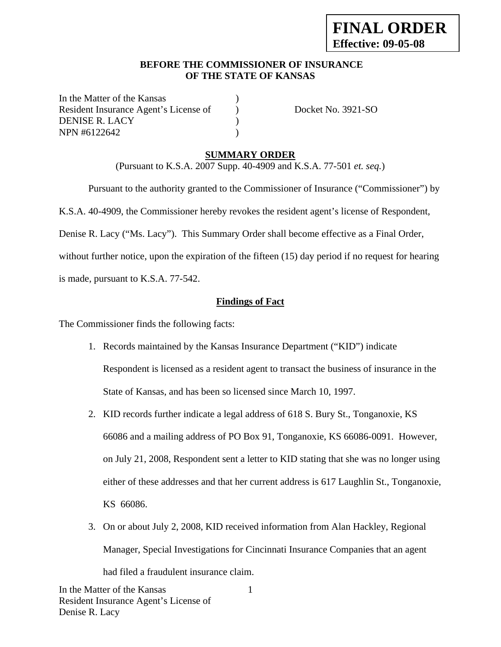#### **BEFORE THE COMMISSIONER OF INSURANCE OF THE STATE OF KANSAS**

In the Matter of the Kansas Resident Insurance Agent's License of Docket No. 3921-SO DENISE R. LACY ) NPN #6122642 )

### **SUMMARY ORDER**

(Pursuant to K.S.A. 2007 Supp. 40-4909 and K.S.A. 77-501 *et. seq.*)

 Pursuant to the authority granted to the Commissioner of Insurance ("Commissioner") by K.S.A. 40-4909, the Commissioner hereby revokes the resident agent's license of Respondent, Denise R. Lacy ("Ms. Lacy"). This Summary Order shall become effective as a Final Order, without further notice, upon the expiration of the fifteen (15) day period if no request for hearing is made, pursuant to K.S.A. 77-542.

### **Findings of Fact**

The Commissioner finds the following facts:

- 1. Records maintained by the Kansas Insurance Department ("KID") indicate Respondent is licensed as a resident agent to transact the business of insurance in the State of Kansas, and has been so licensed since March 10, 1997.
- 2. KID records further indicate a legal address of 618 S. Bury St., Tonganoxie, KS 66086 and a mailing address of PO Box 91, Tonganoxie, KS 66086-0091. However, on July 21, 2008, Respondent sent a letter to KID stating that she was no longer using either of these addresses and that her current address is 617 Laughlin St., Tonganoxie, KS 66086.
- 3. On or about July 2, 2008, KID received information from Alan Hackley, Regional Manager, Special Investigations for Cincinnati Insurance Companies that an agent had filed a fraudulent insurance claim.

1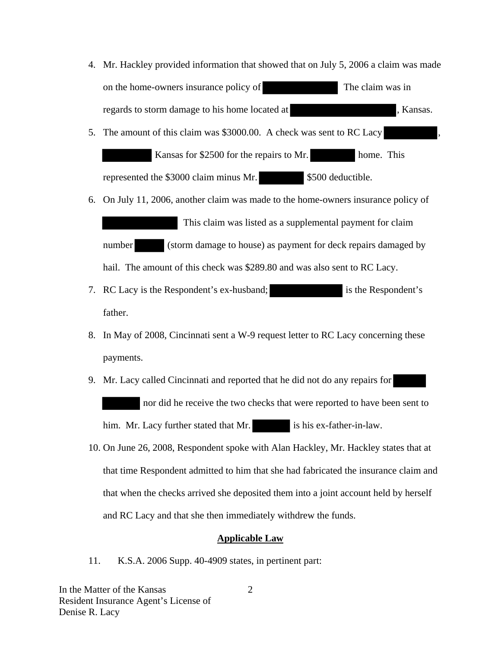- 4. Mr. Hackley provided information that showed that on July 5, 2006 a claim was made on the home-owners insurance policy of The claim was in regards to storm damage to his home located at , Kansas.
- 5. The amount of this claim was \$3000.00. A check was sent to RC Lacy Kansas for \$2500 for the repairs to Mr. home. This represented the \$3000 claim minus Mr. \$500 deductible.
- 6. On July 11, 2006, another claim was made to the home-owners insurance policy of This claim was listed as a supplemental payment for claim number (storm damage to house) as payment for deck repairs damaged by
- 7. RC Lacy is the Respondent's ex-husband; is the Respondent's father.

hail. The amount of this check was \$289.80 and was also sent to RC Lacy.

- 8. In May of 2008, Cincinnati sent a W-9 request letter to RC Lacy concerning these payments.
- 9. Mr. Lacy called Cincinnati and reported that he did not do any repairs for nor did he receive the two checks that were reported to have been sent to him. Mr. Lacy further stated that Mr. is his ex-father-in-law.
- 10. On June 26, 2008, Respondent spoke with Alan Hackley, Mr. Hackley states that at that time Respondent admitted to him that she had fabricated the insurance claim and that when the checks arrived she deposited them into a joint account held by herself and RC Lacy and that she then immediately withdrew the funds.

#### **Applicable Law**

11. K.S.A. 2006 Supp. 40-4909 states, in pertinent part:

In the Matter of the Kansas Resident Insurance Agent's License of Denise R. Lacy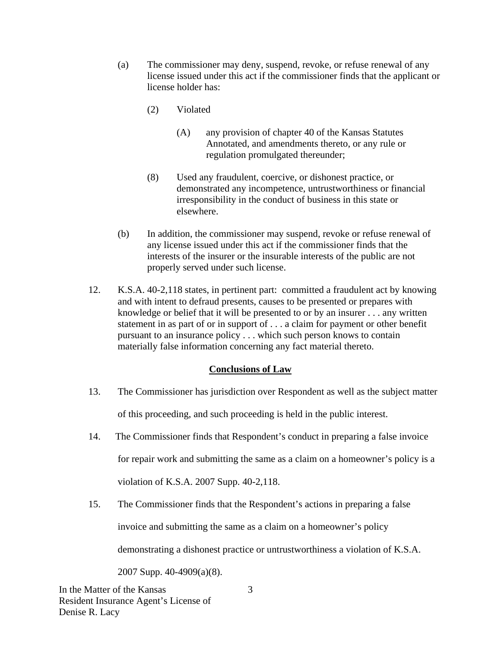- (a) The commissioner may deny, suspend, revoke, or refuse renewal of any license issued under this act if the commissioner finds that the applicant or license holder has:
	- (2) Violated
		- (A) any provision of chapter 40 of the Kansas Statutes Annotated, and amendments thereto, or any rule or regulation promulgated thereunder;
	- (8) Used any fraudulent, coercive, or dishonest practice, or demonstrated any incompetence, untrustworthiness or financial irresponsibility in the conduct of business in this state or elsewhere.
- (b) In addition, the commissioner may suspend, revoke or refuse renewal of any license issued under this act if the commissioner finds that the interests of the insurer or the insurable interests of the public are not properly served under such license.
- 12. K.S.A. 40-2,118 states, in pertinent part: committed a fraudulent act by knowing and with intent to defraud presents, causes to be presented or prepares with knowledge or belief that it will be presented to or by an insurer . . . any written statement in as part of or in support of . . . a claim for payment or other benefit pursuant to an insurance policy . . . which such person knows to contain materially false information concerning any fact material thereto.

### **Conclusions of Law**

- 13. The Commissioner has jurisdiction over Respondent as well as the subject matter of this proceeding, and such proceeding is held in the public interest.
- 14. The Commissioner finds that Respondent's conduct in preparing a false invoice for repair work and submitting the same as a claim on a homeowner's policy is a violation of K.S.A. 2007 Supp. 40-2,118.
- 15. The Commissioner finds that the Respondent's actions in preparing a false invoice and submitting the same as a claim on a homeowner's policy demonstrating a dishonest practice or untrustworthiness a violation of K.S.A.

2007 Supp. 40-4909(a)(8).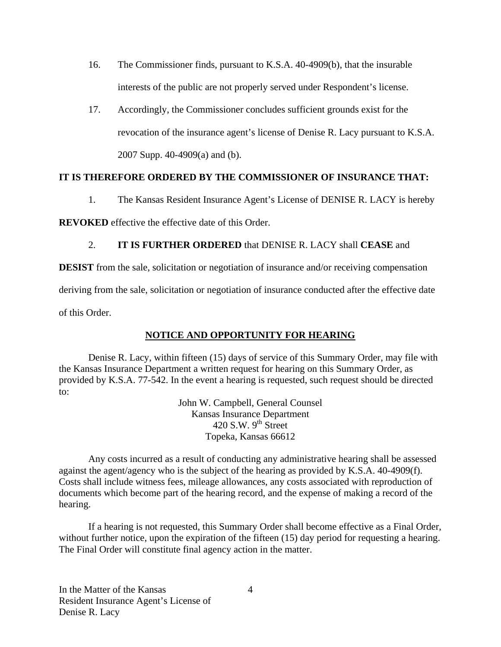- 16. The Commissioner finds, pursuant to K.S.A. 40-4909(b), that the insurable interests of the public are not properly served under Respondent's license.
- 17. Accordingly, the Commissioner concludes sufficient grounds exist for the revocation of the insurance agent's license of Denise R. Lacy pursuant to K.S.A. 2007 Supp. 40-4909(a) and (b).

### **IT IS THEREFORE ORDERED BY THE COMMISSIONER OF INSURANCE THAT:**

1. The Kansas Resident Insurance Agent's License of DENISE R. LACY is hereby

**REVOKED** effective the effective date of this Order.

### 2. **IT IS FURTHER ORDERED** that DENISE R. LACY shall **CEASE** and

**DESIST** from the sale, solicitation or negotiation of insurance and/or receiving compensation

deriving from the sale, solicitation or negotiation of insurance conducted after the effective date

of this Order.

### **NOTICE AND OPPORTUNITY FOR HEARING**

Denise R. Lacy, within fifteen (15) days of service of this Summary Order, may file with the Kansas Insurance Department a written request for hearing on this Summary Order, as provided by K.S.A. 77-542. In the event a hearing is requested, such request should be directed to:

> John W. Campbell, General Counsel Kansas Insurance Department 420 S.W.  $9^{th}$  Street Topeka, Kansas 66612

Any costs incurred as a result of conducting any administrative hearing shall be assessed against the agent/agency who is the subject of the hearing as provided by K.S.A. 40-4909(f). Costs shall include witness fees, mileage allowances, any costs associated with reproduction of documents which become part of the hearing record, and the expense of making a record of the hearing.

If a hearing is not requested, this Summary Order shall become effective as a Final Order, without further notice, upon the expiration of the fifteen (15) day period for requesting a hearing. The Final Order will constitute final agency action in the matter.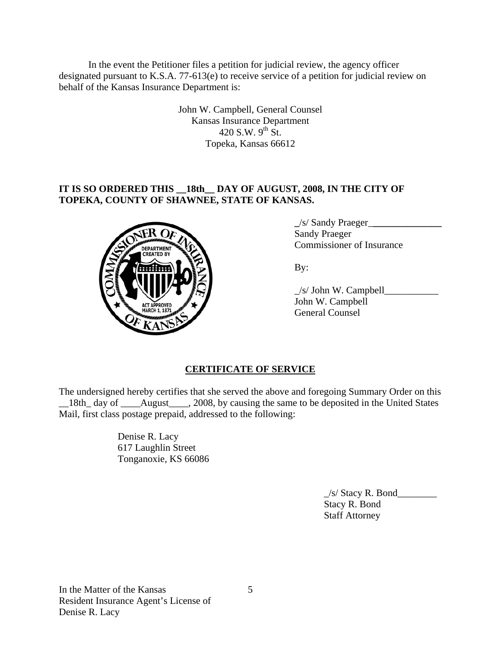In the event the Petitioner files a petition for judicial review, the agency officer designated pursuant to K.S.A. 77-613(e) to receive service of a petition for judicial review on behalf of the Kansas Insurance Department is:

> John W. Campbell, General Counsel Kansas Insurance Department 420 S.W.  $9^{th}$  St. Topeka, Kansas 66612

# **IT IS SO ORDERED THIS \_\_18th\_\_ DAY OF AUGUST, 2008, IN THE CITY OF TOPEKA, COUNTY OF SHAWNEE, STATE OF KANSAS.**



 **\_**/s/ Sandy Praeger\_**\_\_\_\_\_\_\_\_\_\_\_\_\_\_** Sandy Praeger Commissioner of Insurance

 $\angle$ s/ John W. Campbell $\angle$  John W. Campbell General Counsel

# **CERTIFICATE OF SERVICE**

The undersigned hereby certifies that she served the above and foregoing Summary Order on this \_18th\_day of \_\_\_\_August\_\_\_\_, 2008, by causing the same to be deposited in the United States Mail, first class postage prepaid, addressed to the following:

> Denise R. Lacy 617 Laughlin Street Tonganoxie, KS 66086

> > $\angle$ s/ Stacy R. Bond $\angle$  Stacy R. Bond Staff Attorney